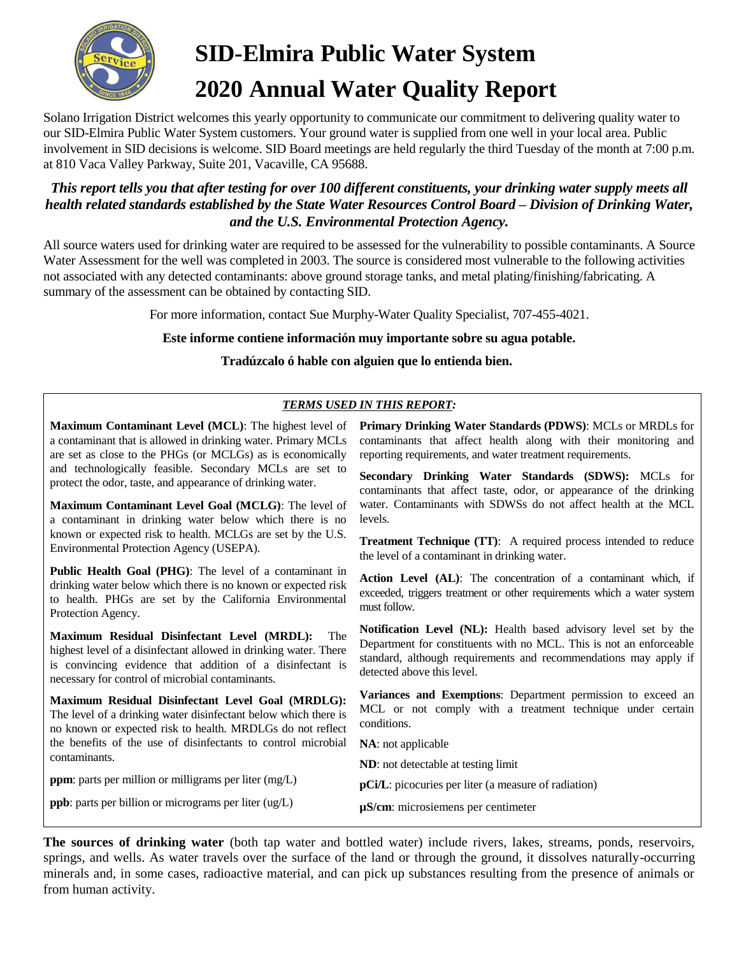

# **SID-Elmira Public Water System 2020 Annual Water Quality Report**

Solano Irrigation District welcomes this yearly opportunity to communicate our commitment to delivering quality water to our SID-Elmira Public Water System customers. Your ground water is supplied from one well in your local area. Public involvement in SID decisions is welcome. SID Board meetings are held regularly the third Tuesday of the month at 7:00 p.m. at 810 Vaca Valley Parkway, Suite 201, Vacaville, CA 95688.

### *This report tells you that after testing for over 100 different constituents, your drinking water supply meets all health related standards established by the State Water Resources Control Board – Division of Drinking Water, and the U.S. Environmental Protection Agency.*

All source waters used for drinking water are required to be assessed for the vulnerability to possible contaminants. A Source Water Assessment for the well was completed in 2003. The source is considered most vulnerable to the following activities not associated with any detected contaminants: above ground storage tanks, and metal plating/finishing/fabricating. A summary of the assessment can be obtained by contacting SID.

For more information, contact Sue Murphy-Water Quality Specialist, 707-455-4021.

**Este informe contiene información muy importante sobre su agua potable.** 

**Tradúzcalo ó hable con alguien que lo entienda bien.**

### *TERMS USED IN THIS REPORT:*

**Maximum Contaminant Level (MCL)**: The highest level of a contaminant that is allowed in drinking water. Primary MCLs are set as close to the PHGs (or MCLGs) as is economically and technologically feasible. Secondary MCLs are set to protect the odor, taste, and appearance of drinking water.

**Maximum Contaminant Level Goal (MCLG)**: The level of a contaminant in drinking water below which there is no known or expected risk to health. MCLGs are set by the U.S. Environmental Protection Agency (USEPA).

**Public Health Goal (PHG)**: The level of a contaminant in drinking water below which there is no known or expected risk to health. PHGs are set by the California Environmental Protection Agency.

**Maximum Residual Disinfectant Level (MRDL):** The highest level of a disinfectant allowed in drinking water. There is convincing evidence that addition of a disinfectant is necessary for control of microbial contaminants.

**Maximum Residual Disinfectant Level Goal (MRDLG):**  The level of a drinking water disinfectant below which there is no known or expected risk to health. MRDLGs do not reflect the benefits of the use of disinfectants to control microbial contaminants.

**ppm**: parts per million or milligrams per liter (mg/L)

**ppb**: parts per billion or micrograms per liter (ug/L)

**Primary Drinking Water Standards (PDWS)**: MCLs or MRDLs for contaminants that affect health along with their monitoring and reporting requirements, and water treatment requirements.

**Secondary Drinking Water Standards (SDWS):** MCLs for contaminants that affect taste, odor, or appearance of the drinking water. Contaminants with SDWSs do not affect health at the MCL levels.

**Treatment Technique (TT):** A required process intended to reduce the level of a contaminant in drinking water.

**Action Level (AL)**: The concentration of a contaminant which, if exceeded, triggers treatment or other requirements which a water system must follow.

**Notification Level (NL):** Health based advisory level set by the Department for constituents with no MCL. This is not an enforceable standard, although requirements and recommendations may apply if detected above this level.

**Variances and Exemptions**: Department permission to exceed an MCL or not comply with a treatment technique under certain conditions.

**NA**: not applicable

**ND**: not detectable at testing limit

**pCi/L**: picocuries per liter (a measure of radiation)

**µS/cm**: microsiemens per centimeter

**The sources of drinking water** (both tap water and bottled water) include rivers, lakes, streams, ponds, reservoirs, springs, and wells. As water travels over the surface of the land or through the ground, it dissolves naturally-occurring minerals and, in some cases, radioactive material, and can pick up substances resulting from the presence of animals or from human activity.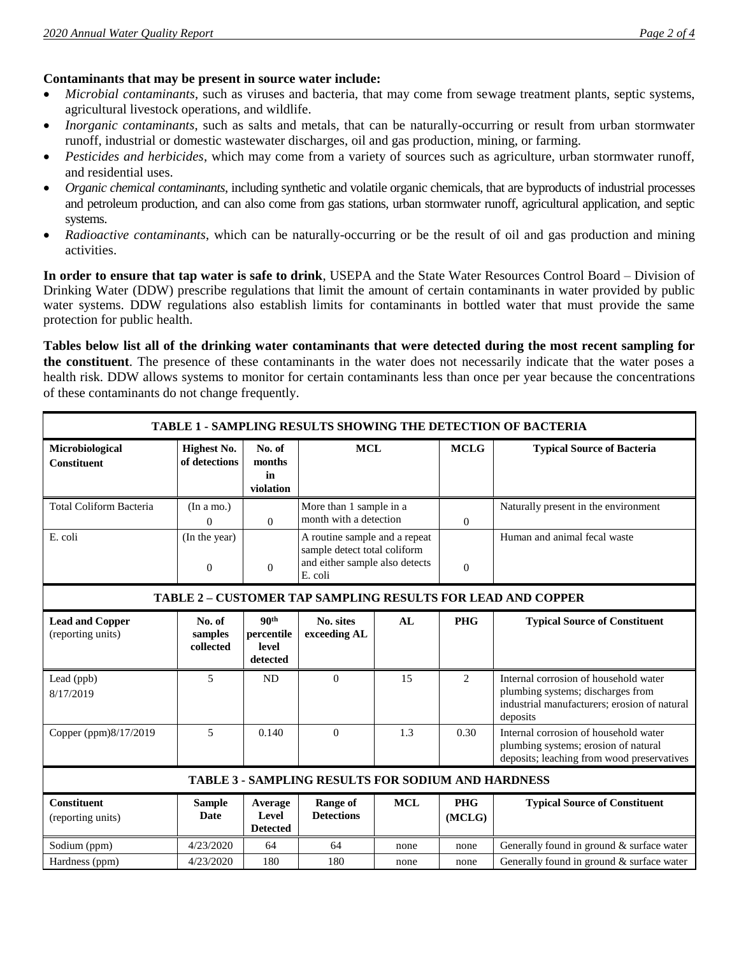#### **Contaminants that may be present in source water include:**

- *Microbial contaminants*, such as viruses and bacteria, that may come from sewage treatment plants, septic systems, agricultural livestock operations, and wildlife.
- *Inorganic contaminants*, such as salts and metals, that can be naturally-occurring or result from urban stormwater runoff, industrial or domestic wastewater discharges, oil and gas production, mining, or farming.
- *Pesticides and herbicides*, which may come from a variety of sources such as agriculture, urban stormwater runoff, and residential uses.
- *Organic chemical contaminants*, including synthetic and volatile organic chemicals, that are byproducts of industrial processes and petroleum production, and can also come from gas stations, urban stormwater runoff, agricultural application, and septic systems.
- *Radioactive contaminants*, which can be naturally-occurring or be the result of oil and gas production and mining activities.

**In order to ensure that tap water is safe to drink**, USEPA and the State Water Resources Control Board – Division of Drinking Water (DDW) prescribe regulations that limit the amount of certain contaminants in water provided by public water systems. DDW regulations also establish limits for contaminants in bottled water that must provide the same protection for public health.

**Tables below list all of the drinking water contaminants that were detected during the most recent sampling for the constituent**. The presence of these contaminants in the water does not necessarily indicate that the water poses a health risk. DDW allows systems to monitor for certain contaminants less than once per year because the concentrations of these contaminants do not change frequently.

| <b>TABLE 1 - SAMPLING RESULTS SHOWING THE DETECTION OF BACTERIA</b> |                                     |                                                     |                                                                                                            |            |                      |                                                                                                                                        |  |  |  |  |  |
|---------------------------------------------------------------------|-------------------------------------|-----------------------------------------------------|------------------------------------------------------------------------------------------------------------|------------|----------------------|----------------------------------------------------------------------------------------------------------------------------------------|--|--|--|--|--|
| Microbiological<br><b>Constituent</b>                               | <b>Highest No.</b><br>of detections | No. of<br>months<br>in<br>violation                 | <b>MCL</b>                                                                                                 |            | <b>MCLG</b>          | <b>Typical Source of Bacteria</b>                                                                                                      |  |  |  |  |  |
| <b>Total Coliform Bacteria</b>                                      | (In a mo.)<br>$\mathbf{0}$          | $\Omega$                                            | More than 1 sample in a<br>month with a detection                                                          |            | $\boldsymbol{0}$     | Naturally present in the environment                                                                                                   |  |  |  |  |  |
| E. coli                                                             | (In the year)<br>$\boldsymbol{0}$   | $\overline{0}$                                      | A routine sample and a repeat<br>sample detect total coliform<br>and either sample also detects<br>E. coli |            | $\boldsymbol{0}$     | Human and animal fecal waste                                                                                                           |  |  |  |  |  |
| TABLE 2 - CUSTOMER TAP SAMPLING RESULTS FOR LEAD AND COPPER         |                                     |                                                     |                                                                                                            |            |                      |                                                                                                                                        |  |  |  |  |  |
| <b>Lead and Copper</b><br>(reporting units)                         | No. of<br>samples<br>collected      | 90 <sup>th</sup><br>percentile<br>level<br>detected | No. sites<br>exceeding AL                                                                                  | AL         | <b>PHG</b>           | <b>Typical Source of Constituent</b>                                                                                                   |  |  |  |  |  |
| Lead (ppb)<br>8/17/2019                                             | 5                                   | <b>ND</b>                                           | $\Omega$                                                                                                   | 15         | 2                    | Internal corrosion of household water<br>plumbing systems; discharges from<br>industrial manufacturers; erosion of natural<br>deposits |  |  |  |  |  |
| Copper (ppm)8/17/2019                                               | 5                                   | 0.140                                               | $\Omega$                                                                                                   | 1.3        | 0.30                 | Internal corrosion of household water<br>plumbing systems; erosion of natural<br>deposits; leaching from wood preservatives            |  |  |  |  |  |
| <b>TABLE 3 - SAMPLING RESULTS FOR SODIUM AND HARDNESS</b>           |                                     |                                                     |                                                                                                            |            |                      |                                                                                                                                        |  |  |  |  |  |
| <b>Constituent</b><br>(reporting units)                             | <b>Sample</b><br>Date               | Average<br>Level<br><b>Detected</b>                 | Range of<br><b>Detections</b>                                                                              | <b>MCL</b> | <b>PHG</b><br>(MCLG) | <b>Typical Source of Constituent</b>                                                                                                   |  |  |  |  |  |
| Sodium (ppm)                                                        | 4/23/2020                           | 64                                                  | 64                                                                                                         | none       | none                 | Generally found in ground & surface water                                                                                              |  |  |  |  |  |
| Hardness (ppm)                                                      | 4/23/2020                           | 180                                                 | 180                                                                                                        | none       | none                 | Generally found in ground & surface water                                                                                              |  |  |  |  |  |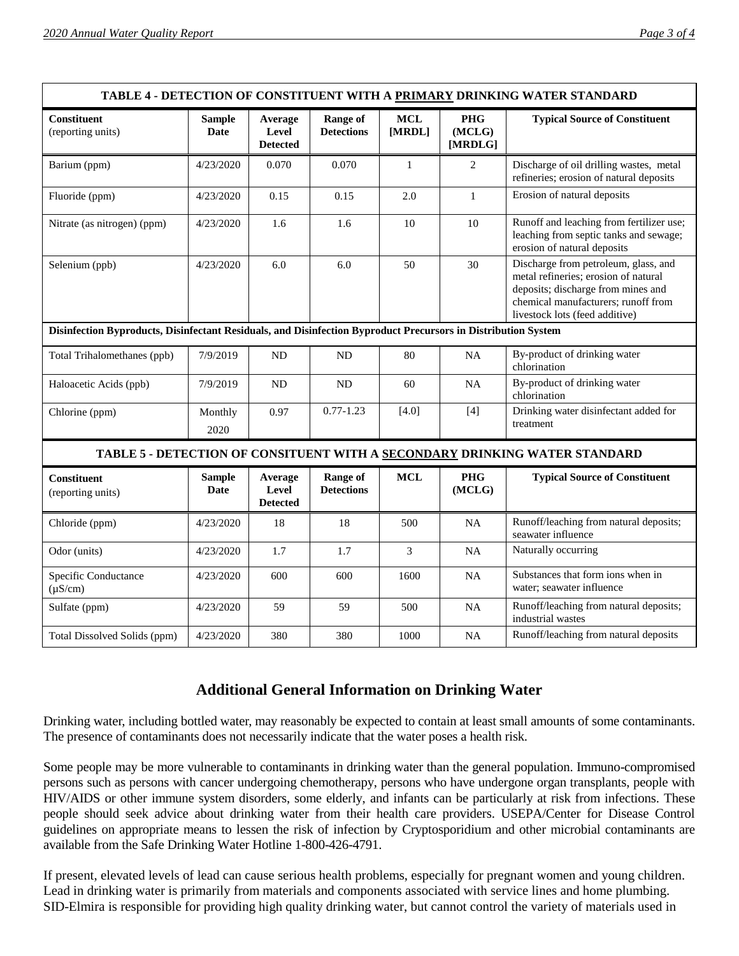|                                                                                                               |                       |                                     |                                      |                     |                                 | TABLE 4 - DETECTION OF CONSTITUENT WITH A PRIMARY DRINKING WATER STANDARD                                                                                                                   |
|---------------------------------------------------------------------------------------------------------------|-----------------------|-------------------------------------|--------------------------------------|---------------------|---------------------------------|---------------------------------------------------------------------------------------------------------------------------------------------------------------------------------------------|
| <b>Constituent</b><br>(reporting units)                                                                       | <b>Sample</b><br>Date | Average<br>Level<br><b>Detected</b> | <b>Range of</b><br><b>Detections</b> | $\bf MCL$<br>[MRDL] | <b>PHG</b><br>(MCLG)<br>[MRDLG] | <b>Typical Source of Constituent</b>                                                                                                                                                        |
| Barium (ppm)                                                                                                  | 4/23/2020             | 0.070                               | 0.070                                | $\mathbf{1}$        | $\overline{2}$                  | Discharge of oil drilling wastes, metal<br>refineries; erosion of natural deposits                                                                                                          |
| Fluoride (ppm)                                                                                                | 4/23/2020             | 0.15                                | 0.15                                 | 2.0                 | $\mathbf{1}$                    | Erosion of natural deposits                                                                                                                                                                 |
| Nitrate (as nitrogen) (ppm)                                                                                   | 4/23/2020             | 1.6                                 | 1.6                                  | 10                  | 10                              | Runoff and leaching from fertilizer use;<br>leaching from septic tanks and sewage;<br>erosion of natural deposits                                                                           |
| Selenium (ppb)                                                                                                | 4/23/2020             | 6.0                                 | 6.0                                  | 50                  | 30                              | Discharge from petroleum, glass, and<br>metal refineries; erosion of natural<br>deposits; discharge from mines and<br>chemical manufacturers; runoff from<br>livestock lots (feed additive) |
| Disinfection Byproducts, Disinfectant Residuals, and Disinfection Byproduct Precursors in Distribution System |                       |                                     |                                      |                     |                                 |                                                                                                                                                                                             |
| Total Trihalomethanes (ppb)                                                                                   | 7/9/2019              | ND                                  | ND                                   | 80                  | <b>NA</b>                       | By-product of drinking water<br>chlorination                                                                                                                                                |
| Haloacetic Acids (ppb)                                                                                        | 7/9/2019              | <b>ND</b>                           | <b>ND</b>                            | 60                  | <b>NA</b>                       | By-product of drinking water<br>chlorination                                                                                                                                                |
| Chlorine (ppm)                                                                                                | Monthly<br>2020       | 0.97                                | $0.77 - 1.23$                        | [4.0]               | [4]                             | Drinking water disinfectant added for<br>treatment                                                                                                                                          |
|                                                                                                               |                       |                                     |                                      |                     |                                 | TABLE 5 - DETECTION OF CONSITUENT WITH A SECONDARY DRINKING WATER STANDARD                                                                                                                  |
| Constituent<br>(reporting units)                                                                              | <b>Sample</b><br>Date | Average<br>Level<br><b>Detected</b> | <b>Range of</b><br><b>Detections</b> | <b>MCL</b>          | <b>PHG</b><br>(MCLG)            | <b>Typical Source of Constituent</b>                                                                                                                                                        |
| Chloride (ppm)                                                                                                | 4/23/2020             | 18                                  | 18                                   | 500                 | <b>NA</b>                       | Runoff/leaching from natural deposits;<br>seawater influence                                                                                                                                |
| Odor (units)                                                                                                  | 4/23/2020             | 1.7                                 | 1.7                                  | 3                   | <b>NA</b>                       | Naturally occurring                                                                                                                                                                         |
| Specific Conductance<br>$(\mu S/cm)$                                                                          | 4/23/2020             | 600                                 | 600                                  | 1600                | <b>NA</b>                       | Substances that form ions when in<br>water; seawater influence                                                                                                                              |
| Sulfate (ppm)                                                                                                 | 4/23/2020             | 59                                  | 59                                   | 500                 | <b>NA</b>                       | Runoff/leaching from natural deposits;<br>industrial wastes                                                                                                                                 |
| Total Dissolved Solids (ppm)                                                                                  | 4/23/2020             | 380                                 | 380                                  | 1000                | <b>NA</b>                       | Runoff/leaching from natural deposits                                                                                                                                                       |

## **Additional General Information on Drinking Water**

Drinking water, including bottled water, may reasonably be expected to contain at least small amounts of some contaminants. The presence of contaminants does not necessarily indicate that the water poses a health risk.

Some people may be more vulnerable to contaminants in drinking water than the general population. Immuno-compromised persons such as persons with cancer undergoing chemotherapy, persons who have undergone organ transplants, people with HIV/AIDS or other immune system disorders, some elderly, and infants can be particularly at risk from infections. These people should seek advice about drinking water from their health care providers. USEPA/Center for Disease Control guidelines on appropriate means to lessen the risk of infection by Cryptosporidium and other microbial contaminants are available from the Safe Drinking Water Hotline 1-800-426-4791.

If present, elevated levels of lead can cause serious health problems, especially for pregnant women and young children. Lead in drinking water is primarily from materials and components associated with service lines and home plumbing. SID-Elmira is responsible for providing high quality drinking water, but cannot control the variety of materials used in